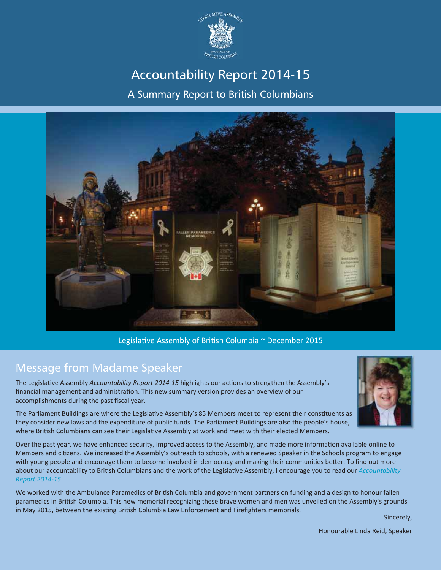

# Accountability Report 2014-15

A Summary Report to British Columbians



Legislative Assembly of British Columbia ~ December 2015

#### Message from Madame Speaker

The LegislaƟve Assembly *Accountability Report 2014Ͳ15* highlights our acƟons to strengthen the Assembly's financial management and administration. This new summary version provides an overview of our accomplishments during the past fiscal year.



Over the past year, we have enhanced security, improved access to the Assembly, and made more information available online to Members and citizens. We increased the Assembly's outreach to schools, with a renewed Speaker in the Schools program to engage with young people and encourage them to become involved in democracy and making their communities better. To find out more about our accountability to British Columbians and the work of the Legislative Assembly, I encourage you to read our *Accountability Report 2014Ͳ15*.

We worked with the Ambulance Paramedics of British Columbia and government partners on funding and a design to honour fallen paramedics in British Columbia. This new memorial recognizing these brave women and men was unveiled on the Assembly's grounds in May 2015, between the existing British Columbia Law Enforcement and Firefighters memorials.

Sincerely,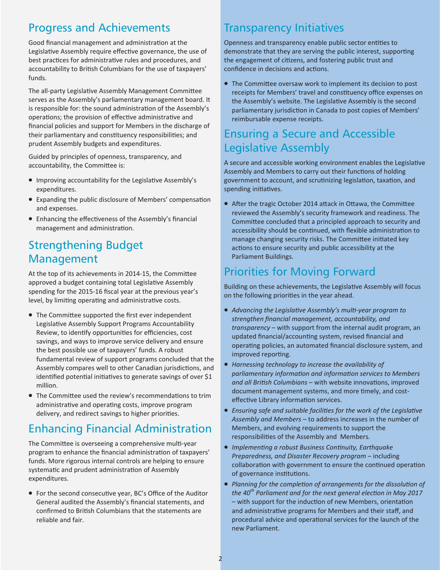#### Progress and Achievements

Good financial management and administration at the Legislative Assembly require effective governance, the use of best practices for administrative rules and procedures, and accountability to British Columbians for the use of taxpayers' funds.

The all-party Legislative Assembly Management Committee serves as the Assembly's parliamentary management board. It is responsible for: the sound administration of the Assembly's operations; the provision of effective administrative and financial policies and support for Members in the discharge of their parliamentary and constituency responsibilities; and prudent Assembly budgets and expenditures.

Guided by principles of openness, transparency, and accountability, the Committee is:

- Improving accountability for the Legislative Assembly's expenditures.
- Expanding the public disclosure of Members' compensation and expenses.
- Enhancing the effectiveness of the Assembly's financial management and administration.

#### Strengthening Budget Management

At the top of its achievements in 2014-15, the Committee approved a budget containing total Legislative Assembly spending for the 2015-16 fiscal year at the previous year's level, by limiting operating and administrative costs.

- The Committee supported the first ever independent Legislative Assembly Support Programs Accountability Review, to identify opportunities for efficiencies, cost savings, and ways to improve service delivery and ensure the best possible use of taxpayers' funds. A robust fundamental review of support programs concluded that the Assembly compares well to other Canadian jurisdictions, and identified potential initiatives to generate savings of over \$1 million.
- The Committee used the review's recommendations to trim administrative and operating costs, improve program delivery, and redirect savings to higher priorities.

## Enhancing Financial Administration

The Committee is overseeing a comprehensive multi-year program to enhance the financial administration of taxpayers' funds. More rigorous internal controls are helping to ensure systematic and prudent administration of Assembly expenditures.

• For the second consecutive year, BC's Office of the Auditor General audited the Assembly's financial statements, and confirmed to British Columbians that the statements are reliable and fair.

#### Transparency Initiatives

Openness and transparency enable public sector entities to demonstrate that they are serving the public interest, supporting the engagement of citizens, and fostering public trust and confidence in decisions and actions.

• The Committee oversaw work to implement its decision to post receipts for Members' travel and constituency office expenses on the Assembly's website. The Legislative Assembly is the second parliamentary jurisdiction in Canada to post copies of Members' reimbursable expense receipts.

#### Ensuring a Secure and Accessible Legislative Assembly

A secure and accessible working environment enables the Legislative Assembly and Members to carry out their functions of holding government to account, and scrutinizing legislation, taxation, and spending initiatives.

• After the tragic October 2014 attack in Ottawa, the Committee reviewed the Assembly's security framework and readiness. The Committee concluded that a principled approach to security and accessibility should be continued, with flexible administration to manage changing security risks. The Committee initiated key actions to ensure security and public accessibility at the Parliament Buildings.

#### Priorities for Moving Forward

Building on these achievements, the Legislative Assembly will focus on the following priorities in the year ahead.

- x *Advancing the LegislaƟve Assembly's mulƟͲyear program to strengthen Įnancial management, accountability, and transparency* – with support from the internal audit program, an updated financial/accounting system, revised financial and operating policies, an automated financial disclosure system, and improved reporting.
- x *Harnessing technology to increase the availability of parliamentary informaƟon and informaƟon services to Members* and all British Columbians – with website innovations, improved document management systems, and more timely, and costeffective Library information services.
- *Ensuring safe and suitable facilities for the work of the Legislative Assembly and Members* – to address increases in the number of Members, and evolving requirements to support the responsibilities of the Assembly and Members.
- x *ImplemenƟng a robust Business ConƟnuity, Earthquake Preparedness, and Disaster Recovery program* – including collaboration with government to ensure the continued operation of governance institutions.
- *Planning for the completion of arrangements for the dissolution of the 40th Parliament and for the next general elecƟon in May 2017* – with support for the induction of new Members, orientation and administrative programs for Members and their staff, and procedural advice and operational services for the launch of the new Parliament.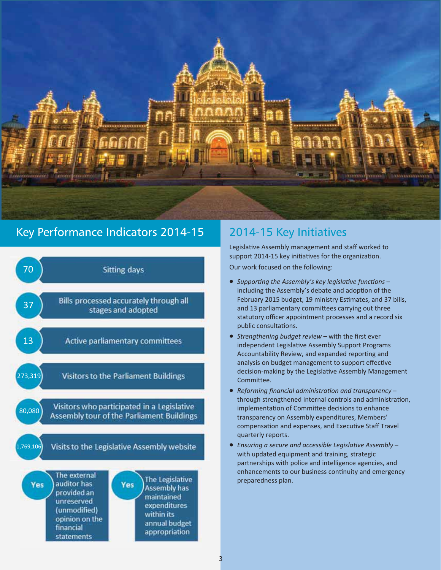

#### Key Performance Indicators 2014-15 2014-15 Key Initiatives



public consultations.

Legislative Assembly management and staff worked to support 2014-15 key initiatives for the organization. Our work focused on the following:

● *Supporting the Assembly's key legislative functions* − including the Assembly's debate and adoption of the February 2015 budget, 19 ministry Estimates, and 37 bills, and 13 parliamentary committees carrying out three statutory officer appointment processes and a record six

- Strengthening budget review with the first ever independent Legislative Assembly Support Programs Accountability Review, and expanded reporting and analysis on budget management to support effective decision-making by the Legislative Assembly Management Committee.
- *Reforming financial administration and transparency* − through strengthened internal controls and administration, implementation of Committee decisions to enhance transparency on Assembly expenditures, Members' compensation and expenses, and Executive Staff Travel quarterly reports.
- *Ensuring a secure and accessible Legislative Assembly* with updated equipment and training, strategic partnerships with police and intelligence agencies, and enhancements to our business continuity and emergency preparedness plan.